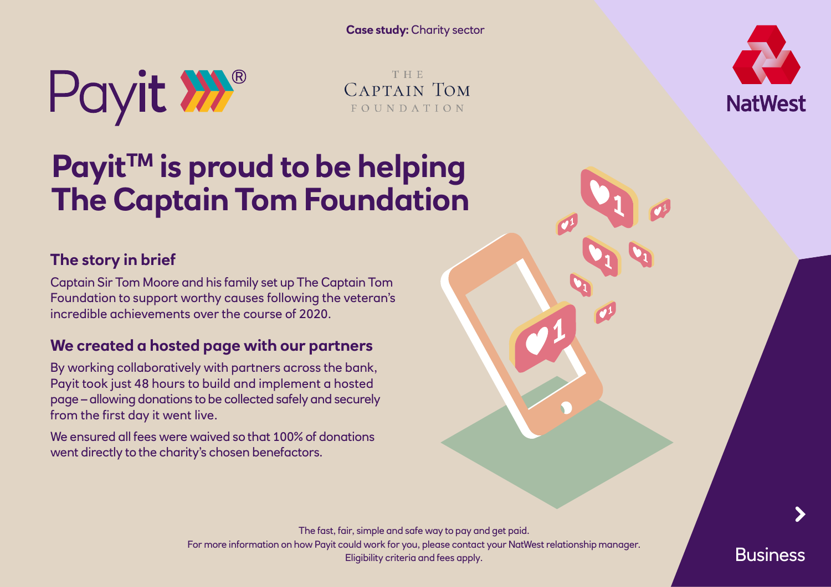**Case study:** Charity sector



THE. CAPTAIN TOM FOUNDATION

# **Payit™ is proud to be helping The Captain Tom Foundation**

### **The story in brief**

Captain Sir Tom Moore and his family set up The Captain Tom Foundation to support worthy causes following the veteran's incredible achievements over the course of 2020.

#### **We created a hosted page with our partners**

By working collaboratively with partners across the bank, Payit took just 48 hours to build and implement a hosted page – allowing donations to be collected safely and securely from the first day it went live.

We ensured all fees were waived so that 100% of donations went directly to the charity's chosen benefactors.

**NatWest** 

**Business**